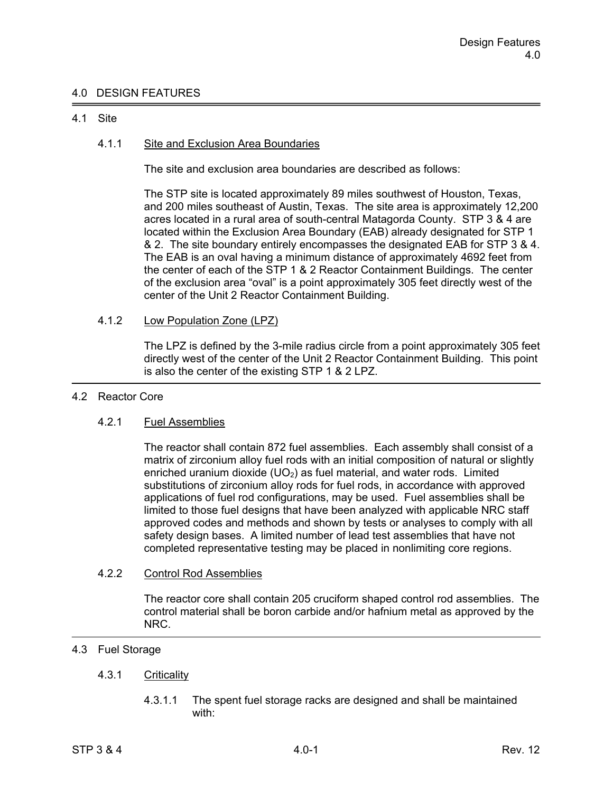# 4.0 DESIGN FEATURES

## 4.1 Site

## 4.1.1 Site and Exclusion Area Boundaries

The site and exclusion area boundaries are described as follows:

The STP site is located approximately 89 miles southwest of Houston, Texas, and 200 miles southeast of Austin, Texas. The site area is approximately 12,200 acres located in a rural area of south-central Matagorda County. STP 3 & 4 are located within the Exclusion Area Boundary (EAB) already designated for STP 1 & 2. The site boundary entirely encompasses the designated EAB for STP 3 & 4. The EAB is an oval having a minimum distance of approximately 4692 feet from the center of each of the STP 1 & 2 Reactor Containment Buildings. The center of the exclusion area "oval" is a point approximately 305 feet directly west of the center of the Unit 2 Reactor Containment Building.

## 4.1.2 Low Population Zone (LPZ)

 The LPZ is defined by the 3-mile radius circle from a point approximately 305 feet directly west of the center of the Unit 2 Reactor Containment Building. This point is also the center of the existing STP 1 & 2 LPZ.

#### 4.2 Reactor Core

## 4.2.1 Fuel Assemblies

 The reactor shall contain 872 fuel assemblies. Each assembly shall consist of a matrix of zirconium alloy fuel rods with an initial composition of natural or slightly enriched uranium dioxide (UO<sub>2</sub>) as fuel material, and water rods. Limited substitutions of zirconium alloy rods for fuel rods, in accordance with approved applications of fuel rod configurations, may be used. Fuel assemblies shall be limited to those fuel designs that have been analyzed with applicable NRC staff approved codes and methods and shown by tests or analyses to comply with all safety design bases. A limited number of lead test assemblies that have not completed representative testing may be placed in nonlimiting core regions.

#### 4.2.2 Control Rod Assemblies

 The reactor core shall contain 205 cruciform shaped control rod assemblies. The control material shall be boron carbide and/or hafnium metal as approved by the NRC.

# 4.3 Fuel Storage

## 4.3.1 Criticality

 4.3.1.1 The spent fuel storage racks are designed and shall be maintained with: